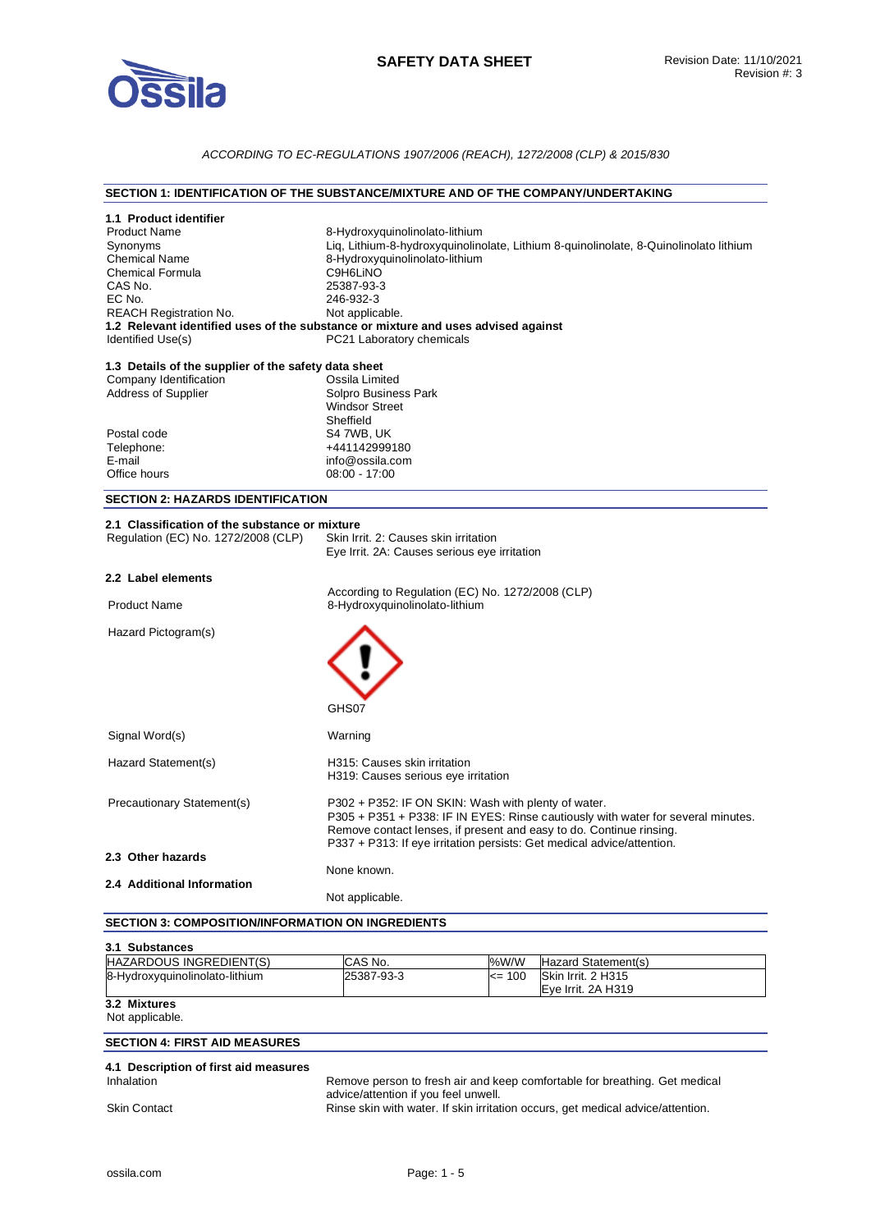

## *ACCORDING TO EC-REGULATIONS 1907/2006 (REACH), 1272/2008 (CLP) & 2015/830*

#### **SECTION 1: IDENTIFICATION OF THE SUBSTANCE/MIXTURE AND OF THE COMPANY/UNDERTAKING**

| 1.1 Product identifier                               |                                                                                       |  |
|------------------------------------------------------|---------------------------------------------------------------------------------------|--|
| <b>Product Name</b>                                  | 8-Hydroxyquinolinolato-lithium                                                        |  |
| Synonyms                                             | Liq, Lithium-8-hydroxyquinolinolate, Lithium 8-quinolinolate, 8-Quinolinolato lithium |  |
| <b>Chemical Name</b>                                 | 8-Hydroxyquinolinolato-lithium                                                        |  |
| <b>Chemical Formula</b><br>CAS No.                   | C9H6LINO                                                                              |  |
| EC No.                                               | 25387-93-3<br>246-932-3                                                               |  |
| <b>REACH Registration No.</b>                        | Not applicable.                                                                       |  |
|                                                      | 1.2 Relevant identified uses of the substance or mixture and uses advised against     |  |
| Identified Use(s)                                    | PC21 Laboratory chemicals                                                             |  |
| 1.3 Details of the supplier of the safety data sheet |                                                                                       |  |
| Company Identification                               | Ossila Limited                                                                        |  |
| <b>Address of Supplier</b>                           | Solpro Business Park                                                                  |  |
|                                                      | <b>Windsor Street</b>                                                                 |  |
|                                                      | Sheffield                                                                             |  |
| Postal code<br>Telephone:                            | S4 7WB, UK<br>+441142999180                                                           |  |
| E-mail                                               | info@ossila.com                                                                       |  |
| Office hours                                         | $08:00 - 17:00$                                                                       |  |
| <b>SECTION 2: HAZARDS IDENTIFICATION</b>             |                                                                                       |  |
|                                                      |                                                                                       |  |
| 2.1 Classification of the substance or mixture       |                                                                                       |  |
| Regulation (EC) No. 1272/2008 (CLP)                  | Skin Irrit, 2: Causes skin irritation                                                 |  |
|                                                      | Eye Irrit. 2A: Causes serious eye irritation                                          |  |
|                                                      |                                                                                       |  |
| 2.2 Label elements                                   |                                                                                       |  |
| <b>Product Name</b>                                  | According to Regulation (EC) No. 1272/2008 (CLP)<br>8-Hydroxyquinolinolato-lithium    |  |
|                                                      |                                                                                       |  |
| Hazard Pictogram(s)                                  |                                                                                       |  |
|                                                      |                                                                                       |  |
|                                                      |                                                                                       |  |
|                                                      |                                                                                       |  |
|                                                      |                                                                                       |  |
|                                                      | GHS07                                                                                 |  |
| Signal Word(s)                                       | Warning                                                                               |  |
|                                                      |                                                                                       |  |
| Hazard Statement(s)                                  | H315: Causes skin irritation                                                          |  |
|                                                      | H319: Causes serious eye irritation                                                   |  |
| Precautionary Statement(s)                           | P302 + P352: IF ON SKIN: Wash with plenty of water.                                   |  |
|                                                      | P305 + P351 + P338: IF IN EYES: Rinse cautiously with water for several minutes.      |  |
|                                                      | Remove contact lenses, if present and easy to do. Continue rinsing.                   |  |
|                                                      | P337 + P313: If eye irritation persists: Get medical advice/attention.                |  |
| 2.3 Other hazards                                    |                                                                                       |  |
|                                                      | None known.                                                                           |  |
| 2.4 Additional Information                           | Not applicable.                                                                       |  |

#### **SECTION 3: COMPOSITION/INFORMATION ON INGREDIENTS**

| 3.1 Substances                 |            |            |                     |  |
|--------------------------------|------------|------------|---------------------|--|
| HAZARDOUS INGREDIENT(S)        | CAS No.    | %W/W       | Hazard Statement(s) |  |
| 8-Hydroxyguinolinolato-lithium | 25387-93-3 | $\leq$ 100 | Skin Irrit. 2 H315  |  |
|                                |            |            | Eve Irrit, 2A H319  |  |
| 3.2 Mixtures                   |            |            |                     |  |

#### Not applicable.

# **SECTION 4: FIRST AID MEASURES**

# **4.1 Description of first aid measures**

Remove person to fresh air and keep comfortable for breathing. Get medical advice/attention if you feel unwell. Skin Contact **Rinse skin with water. If skin irritation occurs**, get medical advice/attention.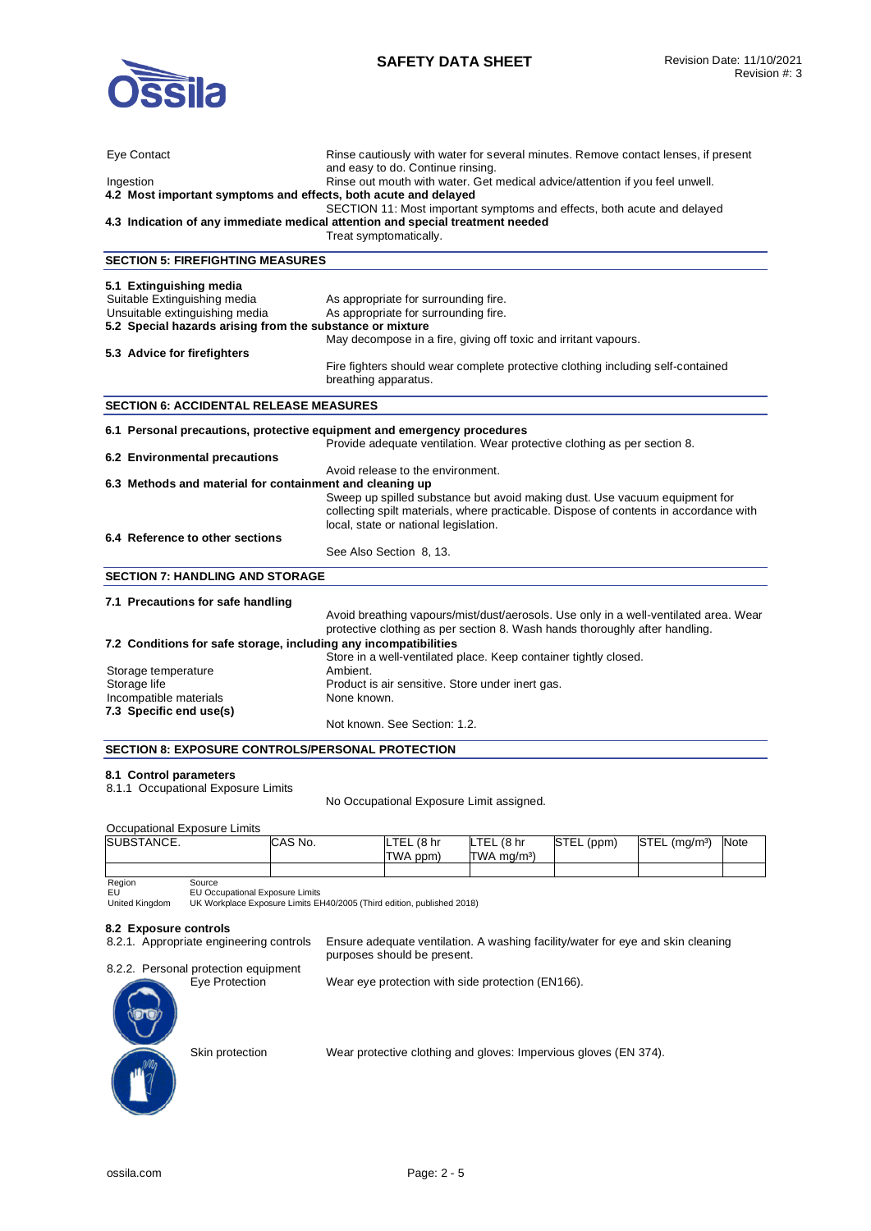

| Eye Contact                                                                    | Rinse cautiously with water for several minutes. Remove contact lenses, if present<br>and easy to do. Continue rinsing. |  |  |
|--------------------------------------------------------------------------------|-------------------------------------------------------------------------------------------------------------------------|--|--|
| Ingestion                                                                      | Rinse out mouth with water. Get medical advice/attention if you feel unwell.                                            |  |  |
| 4.2 Most important symptoms and effects, both acute and delayed                |                                                                                                                         |  |  |
| SECTION 11: Most important symptoms and effects, both acute and delayed        |                                                                                                                         |  |  |
| 4.3 Indication of any immediate medical attention and special treatment needed |                                                                                                                         |  |  |
|                                                                                | Treat symptomatically.                                                                                                  |  |  |
| <b>SECTION 5: FIREFIGHTING MEASURES</b>                                        |                                                                                                                         |  |  |
| 5.1 Extinguishing media                                                        |                                                                                                                         |  |  |
| Suitable Extinguishing media                                                   | As appropriate for surrounding fire.                                                                                    |  |  |
| Unsuitable extinguishing media                                                 | As appropriate for surrounding fire.                                                                                    |  |  |
| 5.2 Special hazards arising from the substance or mixture                      |                                                                                                                         |  |  |
|                                                                                | May decompose in a fire, giving off toxic and irritant vapours.                                                         |  |  |
| 5.3 Advice for firefighters                                                    |                                                                                                                         |  |  |
|                                                                                | Fire fighters should wear complete protective clothing including self-contained                                         |  |  |
|                                                                                | breathing apparatus.                                                                                                    |  |  |
| <b>SECTION 6: ACCIDENTAL RELEASE MEASURES</b>                                  |                                                                                                                         |  |  |
|                                                                                |                                                                                                                         |  |  |
| 6.1 Personal precautions, protective equipment and emergency procedures        |                                                                                                                         |  |  |
|                                                                                | Provide adequate ventilation. Wear protective clothing as per section 8.                                                |  |  |
| 6.2 Environmental precautions                                                  |                                                                                                                         |  |  |
|                                                                                | Avoid release to the environment.                                                                                       |  |  |
| 6.3 Methods and material for containment and cleaning up                       |                                                                                                                         |  |  |
|                                                                                | Sweep up spilled substance but avoid making dust. Use vacuum equipment for                                              |  |  |
|                                                                                | collecting spilt materials, where practicable. Dispose of contents in accordance with                                   |  |  |
|                                                                                | local, state or national legislation.                                                                                   |  |  |
| 6.4 Reference to other sections                                                |                                                                                                                         |  |  |
|                                                                                | See Also Section 8, 13.                                                                                                 |  |  |
| <b>SECTION 7: HANDLING AND STORAGE</b>                                         |                                                                                                                         |  |  |
| 7.1 Precautions for safe handling                                              |                                                                                                                         |  |  |
|                                                                                | Avoid breathing vapours/mist/dust/aerosols. Use only in a well-ventilated area. Wear                                    |  |  |
|                                                                                | protective clothing as per section 8. Wash hands thoroughly after handling.                                             |  |  |
| 7.2 Conditions for safe storage, including any incompatibilities               |                                                                                                                         |  |  |
|                                                                                | Store in a well-ventilated place. Keep container tightly closed.                                                        |  |  |
| Storage temperature                                                            | Ambient.                                                                                                                |  |  |
| Storage life                                                                   | Product is air sensitive. Store under inert gas.                                                                        |  |  |
| Incompatible materials                                                         | None known.                                                                                                             |  |  |
| 7.3 Specific end use(s)                                                        |                                                                                                                         |  |  |
|                                                                                | Not known. See Section: 1.2.                                                                                            |  |  |
| <b>SECTION 8: EXPOSURE CONTROLS/PERSONAL PROTECTION</b>                        |                                                                                                                         |  |  |

# **8.1 Control parameters**

8.1.1 Occupational Exposure Limits

No Occupational Exposure Limit assigned.

#### Occupational Exposure Limits

| SUBSTANCE. | CAS No. | LTEL<br>. (8 hr | LTEL (8 hr              | STEL (ppm) | STEL (mg/m <sup>3</sup> ) | <b>Note</b> |
|------------|---------|-----------------|-------------------------|------------|---------------------------|-------------|
|            |         | TWA ppm)        | TWA mg/m <sup>3</sup> ) |            |                           |             |
|            |         |                 |                         |            |                           |             |

Region EU United Kingdom

Source EU Occupational Exposure Limits UK Workplace Exposure Limits EH40/2005 (Third edition, published 2018)

#### **8.2 Exposure controls**

| 8.2.1. Appropriate engineering controls | Ensure adequate ventilation. A washing facility/water for eye and skin cleaning<br>purposes should be present. |
|-----------------------------------------|----------------------------------------------------------------------------------------------------------------|
| 8.2.2. Personal protection equipment    |                                                                                                                |
| Eye Protection<br>$\bigodot$            | Wear eye protection with side protection (EN166).                                                              |

Skin protection Wear protective clothing and gloves: Impervious gloves (EN 374).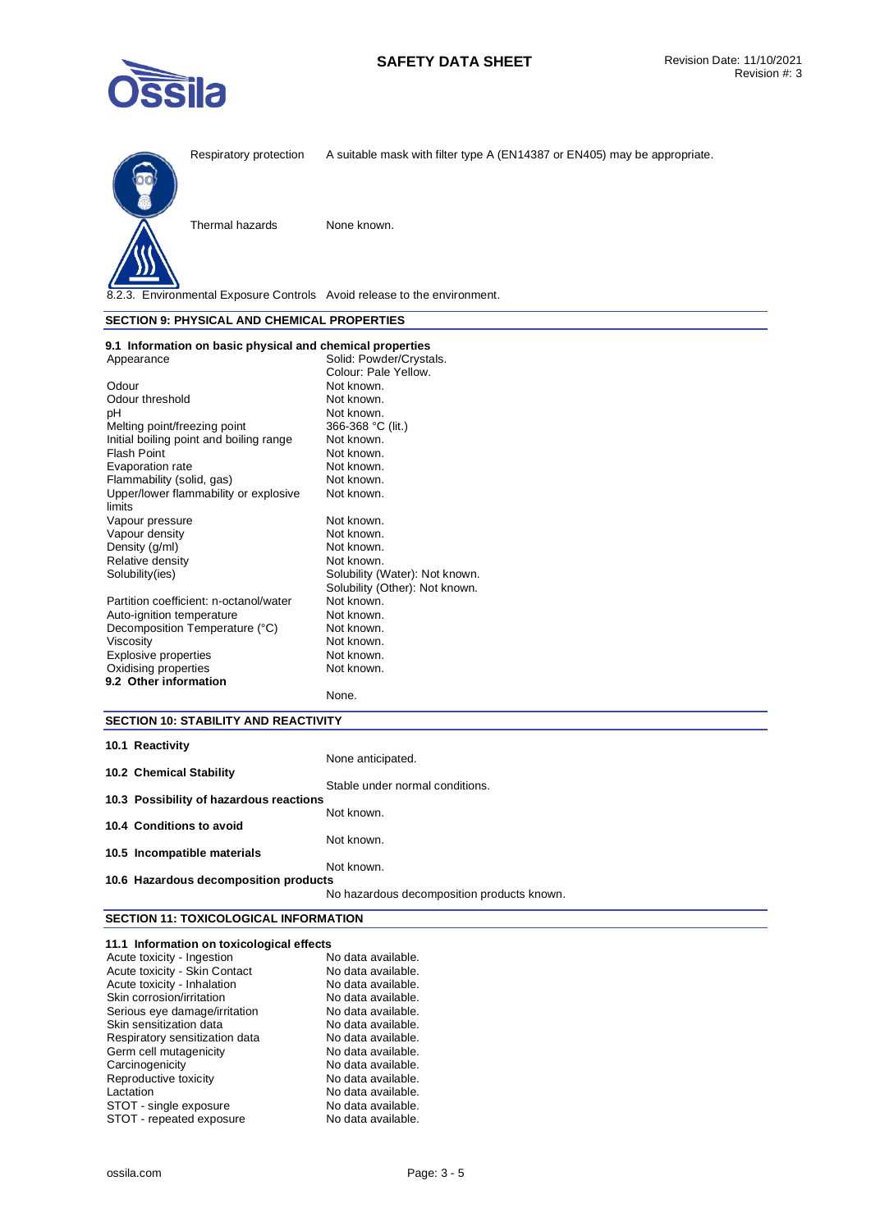



8.2.3. Environmental Exposure Controls Avoid release to the environment.

### **SECTION 9: PHYSICAL AND CHEMICAL PROPERTIES**

| 9.1 Information on basic physical and chemical properties |                                |
|-----------------------------------------------------------|--------------------------------|
| Appearance                                                | Solid: Powder/Crystals.        |
|                                                           | Colour: Pale Yellow.           |
| Odour                                                     | Not known.                     |
| Odour threshold                                           | Not known.                     |
| рH                                                        | Not known.                     |
| Melting point/freezing point                              | 366-368 °C (lit.)              |
| Initial boiling point and boiling range                   | Not known.                     |
| <b>Flash Point</b>                                        | Not known.                     |
| Evaporation rate                                          | Not known.                     |
| Flammability (solid, gas)                                 | Not known.                     |
| Upper/lower flammability or explosive                     | Not known.                     |
| limits                                                    |                                |
| Vapour pressure                                           | Not known.                     |
| Vapour density                                            | Not known.                     |
| Density (g/ml)                                            | Not known.                     |
| Relative density                                          | Not known.                     |
| Solubility (ies)                                          | Solubility (Water): Not known. |
|                                                           | Solubility (Other): Not known. |
| Partition coefficient: n-octanol/water                    | Not known.                     |
| Auto-ignition temperature                                 | Not known.                     |
| Decomposition Temperature (°C)                            | Not known.                     |
| Viscosity                                                 | Not known.                     |
| <b>Explosive properties</b>                               | Not known.                     |
| Oxidising properties                                      | Not known.                     |
| 9.2 Other information                                     |                                |
|                                                           | None.                          |

# **SECTION 10: STABILITY AND REACTIVITY**

| 10.1 Reactivity                         |                                            |
|-----------------------------------------|--------------------------------------------|
|                                         | None anticipated.                          |
| 10.2 Chemical Stability                 |                                            |
|                                         | Stable under normal conditions.            |
| 10.3 Possibility of hazardous reactions |                                            |
|                                         | Not known.                                 |
| 10.4 Conditions to avoid                |                                            |
|                                         | Not known.                                 |
| 10.5 Incompatible materials             |                                            |
|                                         | Not known.                                 |
| 10.6 Hazardous decomposition products   |                                            |
|                                         | No hazardous decomposition products known. |

# **SECTION 11: TOXICOLOGICAL INFORMATION**

| 11.1 Information on toxicological effects |                    |
|-------------------------------------------|--------------------|
| Acute toxicity - Ingestion                | No data available. |
| Acute toxicity - Skin Contact             | No data available. |
| Acute toxicity - Inhalation               | No data available. |
| Skin corrosion/irritation                 | No data available. |
| Serious eye damage/irritation             | No data available. |
| Skin sensitization data                   | No data available. |
| Respiratory sensitization data            | No data available. |
| Germ cell mutagenicity                    | No data available. |
| Carcinogenicity                           | No data available. |
| Reproductive toxicity                     | No data available. |
| Lactation                                 | No data available. |
| STOT - single exposure                    | No data available. |
| STOT - repeated exposure                  | No data available. |
|                                           |                    |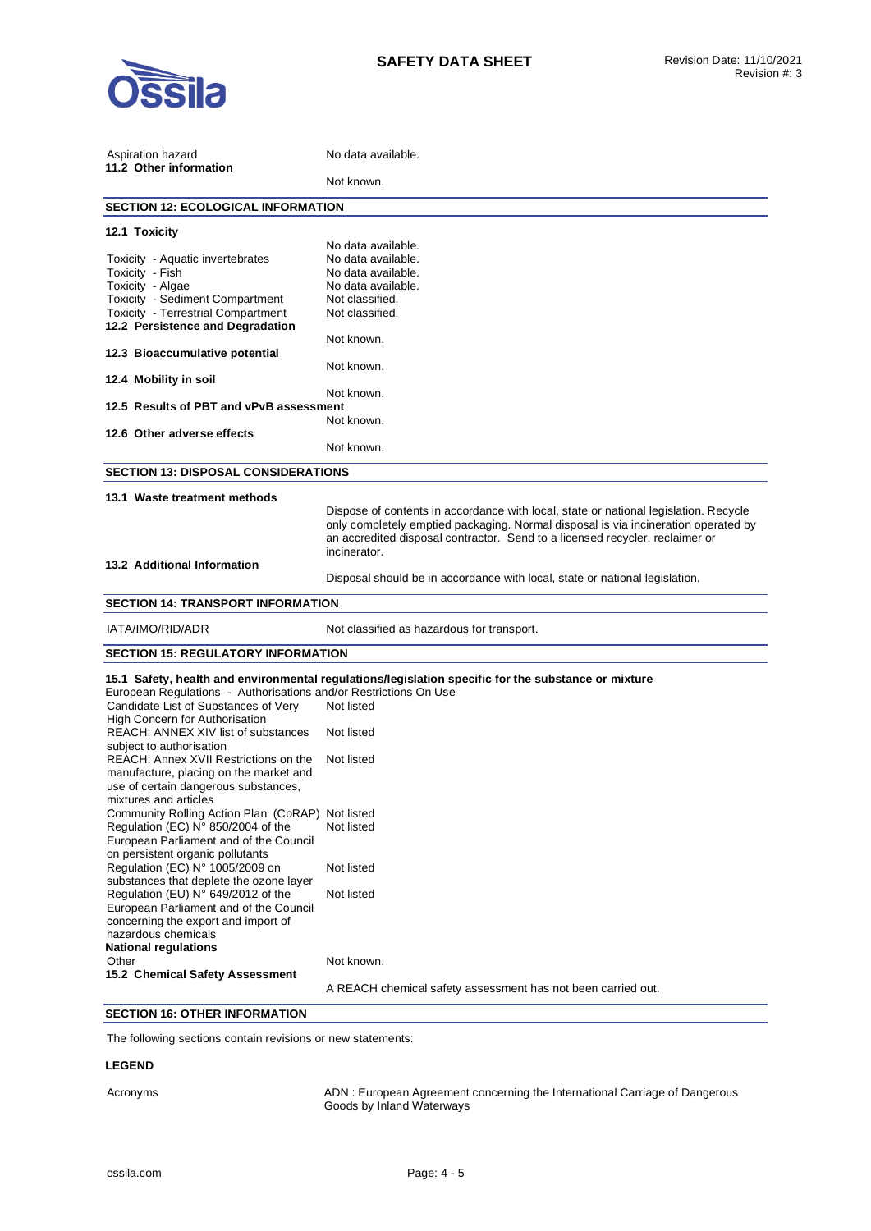

| Aspiration hazard<br>11.2 Other information                                    | No data available.                                                                                                                                                                                                                                                         |
|--------------------------------------------------------------------------------|----------------------------------------------------------------------------------------------------------------------------------------------------------------------------------------------------------------------------------------------------------------------------|
|                                                                                | Not known.                                                                                                                                                                                                                                                                 |
| <b>SECTION 12: ECOLOGICAL INFORMATION</b>                                      |                                                                                                                                                                                                                                                                            |
| 12.1 Toxicity                                                                  |                                                                                                                                                                                                                                                                            |
|                                                                                | No data available.                                                                                                                                                                                                                                                         |
| Toxicity - Aquatic invertebrates                                               | No data available.                                                                                                                                                                                                                                                         |
| Toxicity - Fish                                                                | No data available.                                                                                                                                                                                                                                                         |
| Toxicity - Algae                                                               | No data available.                                                                                                                                                                                                                                                         |
| Toxicity - Sediment Compartment                                                | Not classified.                                                                                                                                                                                                                                                            |
| Toxicity - Terrestrial Compartment<br>12.2 Persistence and Degradation         | Not classified.                                                                                                                                                                                                                                                            |
|                                                                                | Not known.                                                                                                                                                                                                                                                                 |
| 12.3 Bioaccumulative potential                                                 | Not known.                                                                                                                                                                                                                                                                 |
| 12.4 Mobility in soil                                                          |                                                                                                                                                                                                                                                                            |
|                                                                                | Not known.                                                                                                                                                                                                                                                                 |
| 12.5 Results of PBT and vPvB assessment                                        |                                                                                                                                                                                                                                                                            |
|                                                                                | Not known.                                                                                                                                                                                                                                                                 |
| 12.6 Other adverse effects                                                     |                                                                                                                                                                                                                                                                            |
|                                                                                | Not known.                                                                                                                                                                                                                                                                 |
| <b>SECTION 13: DISPOSAL CONSIDERATIONS</b>                                     |                                                                                                                                                                                                                                                                            |
| 13.1 Waste treatment methods                                                   |                                                                                                                                                                                                                                                                            |
|                                                                                | Dispose of contents in accordance with local, state or national legislation. Recycle<br>only completely emptied packaging. Normal disposal is via incineration operated by<br>an accredited disposal contractor. Send to a licensed recycler, reclaimer or<br>incinerator. |
| 13.2 Additional Information                                                    |                                                                                                                                                                                                                                                                            |
|                                                                                | Disposal should be in accordance with local, state or national legislation.                                                                                                                                                                                                |
| <b>SECTION 14: TRANSPORT INFORMATION</b>                                       |                                                                                                                                                                                                                                                                            |
| IATA/IMO/RID/ADR                                                               | Not classified as hazardous for transport.                                                                                                                                                                                                                                 |
| <b>SECTION 15: REGULATORY INFORMATION</b>                                      |                                                                                                                                                                                                                                                                            |
|                                                                                | 15.1 Safety, health and environmental regulations/legislation specific for the substance or mixture                                                                                                                                                                        |
| European Regulations - Authorisations and/or Restrictions On Use               |                                                                                                                                                                                                                                                                            |
| Candidate List of Substances of Very                                           | Not listed                                                                                                                                                                                                                                                                 |
| High Concern for Authorisation<br>REACH: ANNEX XIV list of substances          | Not listed                                                                                                                                                                                                                                                                 |
| subject to authorisation                                                       |                                                                                                                                                                                                                                                                            |
| REACH: Annex XVII Restrictions on the                                          | Not listed                                                                                                                                                                                                                                                                 |
| manufacture, placing on the market and<br>use of certain dangerous substances, |                                                                                                                                                                                                                                                                            |
| mixtures and articles                                                          |                                                                                                                                                                                                                                                                            |
| Community Rolling Action Plan (CoRAP) Not listed                               |                                                                                                                                                                                                                                                                            |
| Regulation (EC) N° 850/2004 of the                                             | Not listed                                                                                                                                                                                                                                                                 |
| European Parliament and of the Council                                         |                                                                                                                                                                                                                                                                            |
| on persistent organic pollutants                                               |                                                                                                                                                                                                                                                                            |
| Regulation (EC) N° 1005/2009 on                                                | Not listed                                                                                                                                                                                                                                                                 |
| substances that deplete the ozone layer                                        |                                                                                                                                                                                                                                                                            |
| Regulation (EU) N° 649/2012 of the                                             | Not listed                                                                                                                                                                                                                                                                 |
| European Parliament and of the Council                                         |                                                                                                                                                                                                                                                                            |
| concerning the export and import of                                            |                                                                                                                                                                                                                                                                            |
| hazardous chemicals                                                            |                                                                                                                                                                                                                                                                            |
| <b>National regulations</b>                                                    |                                                                                                                                                                                                                                                                            |
| Other<br>15.2 Chemical Safety Assessment                                       | Not known.                                                                                                                                                                                                                                                                 |
|                                                                                | A REACH chemical safety assessment has not been carried out.                                                                                                                                                                                                               |
|                                                                                |                                                                                                                                                                                                                                                                            |

# **SECTION 16: OTHER INFORMATION**

The following sections contain revisions or new statements:

# **LEGEND**

Acronyms ADN : European Agreement concerning the International Carriage of Dangerous Goods by Inland Waterways